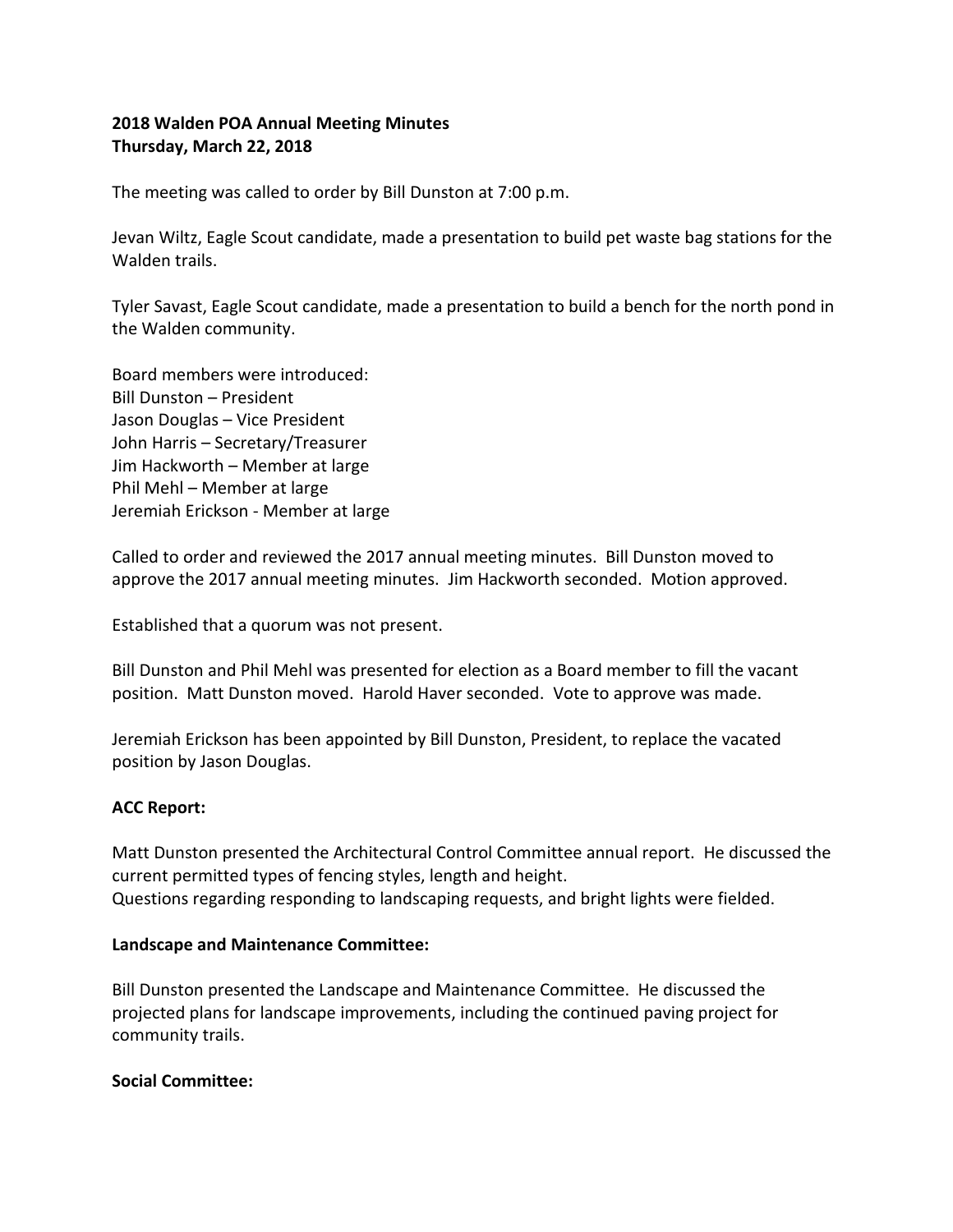# **2018 Walden POA Annual Meeting Minutes Thursday, March 22, 2018**

The meeting was called to order by Bill Dunston at 7:00 p.m.

Jevan Wiltz, Eagle Scout candidate, made a presentation to build pet waste bag stations for the Walden trails.

Tyler Savast, Eagle Scout candidate, made a presentation to build a bench for the north pond in the Walden community.

Board members were introduced: Bill Dunston – President Jason Douglas – Vice President John Harris – Secretary/Treasurer Jim Hackworth – Member at large Phil Mehl – Member at large Jeremiah Erickson - Member at large

Called to order and reviewed the 2017 annual meeting minutes. Bill Dunston moved to approve the 2017 annual meeting minutes. Jim Hackworth seconded. Motion approved.

Established that a quorum was not present.

Bill Dunston and Phil Mehl was presented for election as a Board member to fill the vacant position. Matt Dunston moved. Harold Haver seconded. Vote to approve was made.

Jeremiah Erickson has been appointed by Bill Dunston, President, to replace the vacated position by Jason Douglas.

## **ACC Report:**

Matt Dunston presented the Architectural Control Committee annual report. He discussed the current permitted types of fencing styles, length and height. Questions regarding responding to landscaping requests, and bright lights were fielded.

### **Landscape and Maintenance Committee:**

Bill Dunston presented the Landscape and Maintenance Committee. He discussed the projected plans for landscape improvements, including the continued paving project for community trails.

### **Social Committee:**